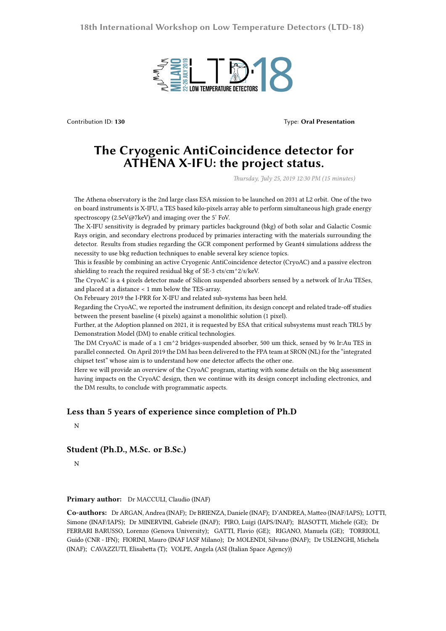

Contribution ID: **130** Type: **Oral Presentation**

## **The Cryogenic AntiCoincidence detector for ATHENA X-IFU: the project status.**

*Thursday, July 25, 2019 12:30 PM (15 minutes)*

The Athena observatory is the 2nd large class ESA mission to be launched on 2031 at L2 orbit. One of the two on board instruments is X-IFU, a TES based kilo-pixels array able to perform simultaneous high grade energy spectroscopy (2.5eV@7keV) and imaging over the 5' FoV.

The X-IFU sensitivity is degraded by primary particles background (bkg) of both solar and Galactic Cosmic Rays origin, and secondary electrons produced by primaries interacting with the materials surrounding the detector. Results from studies regarding the GCR component performed by Geant4 simulations address the necessity to use bkg reduction techniques to enable several key science topics.

This is feasible by combining an active Cryogenic AntiCoincidence detector (CryoAC) and a passive electron shielding to reach the required residual bkg of 5E-3 cts/cm^2/s/keV.

The CryoAC is a 4 pixels detector made of Silicon suspended absorbers sensed by a network of Ir:Au TESes, and placed at a distance < 1 mm below the TES-array.

On February 2019 the I-PRR for X-IFU and related sub-systems has been held.

Regarding the CryoAC, we reported the instrument definition, its design concept and related trade-off studies between the present baseline (4 pixels) against a monolithic solution (1 pixel).

Further, at the Adoption planned on 2021, it is requested by ESA that critical subsystems must reach TRL5 by Demonstration Model (DM) to enable critical technologies.

The DM CryoAC is made of a 1 cm^2 bridges-suspended absorber, 500 um thick, sensed by 96 Ir:Au TES in parallel connected. On April 2019 the DM has been delivered to the FPA team at SRON (NL) for the "integrated chipset test" whose aim is to understand how one detector affects the other one.

Here we will provide an overview of the CryoAC program, starting with some details on the bkg assessment having impacts on the CryoAC design, then we continue with its design concept including electronics, and the DM results, to conclude with programmatic aspects.

## **Less than 5 years of experience since completion of Ph.D**

N

## **Student (Ph.D., M.Sc. or B.Sc.)**

N

## **Primary author:** Dr MACCULI, Claudio (INAF)

**Co-authors:** Dr ARGAN, Andrea (INAF); Dr BRIENZA, Daniele (INAF); D'ANDREA, Matteo (INAF/IAPS); LOTTI, Simone (INAF/IAPS); Dr MINERVINI, Gabriele (INAF); PIRO, Luigi (IAPS/INAF); BIASOTTI, Michele (GE); Dr FERRARI BARUSSO, Lorenzo (Genova University); GATTI, Flavio (GE); RIGANO, Manuela (GE); TORRIOLI, Guido (CNR - IFN); FIORINI, Mauro (INAF IASF Milano); Dr MOLENDI, Silvano (INAF); Dr USLENGHI, Michela (INAF); CAVAZZUTI, Elisabetta (T); VOLPE, Angela (ASI (Italian Space Agency))